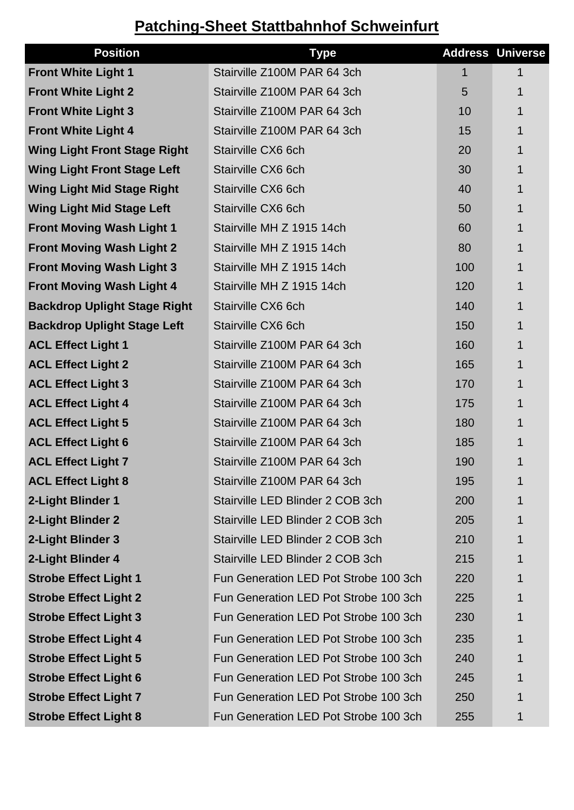## **Patching-Sheet Stattbahnhof Schweinfurt**

| <b>Position</b>                     | <b>Type</b>                           |     | <b>Address Universe</b> |
|-------------------------------------|---------------------------------------|-----|-------------------------|
| <b>Front White Light 1</b>          | Stairville Z100M PAR 64 3ch           | 1   | 1                       |
| <b>Front White Light 2</b>          | Stairville Z100M PAR 64 3ch           | 5   | 1                       |
| <b>Front White Light 3</b>          | Stairville Z100M PAR 64 3ch           | 10  | 1                       |
| <b>Front White Light 4</b>          | Stairville Z100M PAR 64 3ch           | 15  | 1                       |
| <b>Wing Light Front Stage Right</b> | Stairville CX6 6ch                    | 20  | 1                       |
| <b>Wing Light Front Stage Left</b>  | Stairville CX6 6ch                    | 30  | 1                       |
| <b>Wing Light Mid Stage Right</b>   | Stairville CX6 6ch                    | 40  | 1                       |
| <b>Wing Light Mid Stage Left</b>    | Stairville CX6 6ch                    | 50  | 1                       |
| <b>Front Moving Wash Light 1</b>    | Stairville MH Z 1915 14ch             | 60  | 1                       |
| <b>Front Moving Wash Light 2</b>    | Stairville MH Z 1915 14ch             | 80  | 1                       |
| <b>Front Moving Wash Light 3</b>    | Stairville MH Z 1915 14ch             | 100 | 1                       |
| <b>Front Moving Wash Light 4</b>    | Stairville MH Z 1915 14ch             | 120 | 1                       |
| <b>Backdrop Uplight Stage Right</b> | Stairville CX6 6ch                    | 140 | 1                       |
| <b>Backdrop Uplight Stage Left</b>  | Stairville CX6 6ch                    | 150 | 1                       |
| <b>ACL Effect Light 1</b>           | Stairville Z100M PAR 64 3ch           | 160 | $\mathbf 1$             |
| <b>ACL Effect Light 2</b>           | Stairville Z100M PAR 64 3ch           | 165 | 1                       |
| <b>ACL Effect Light 3</b>           | Stairville Z100M PAR 64 3ch           | 170 | 1                       |
| <b>ACL Effect Light 4</b>           | Stairville Z100M PAR 64 3ch           | 175 | 1                       |
| <b>ACL Effect Light 5</b>           | Stairville Z100M PAR 64 3ch           | 180 | 1                       |
| <b>ACL Effect Light 6</b>           | Stairville Z100M PAR 64 3ch           | 185 | 1                       |
| <b>ACL Effect Light 7</b>           | Stairville Z100M PAR 64 3ch           | 190 | 1                       |
| <b>ACL Effect Light 8</b>           | Stairville Z100M PAR 64 3ch           | 195 | 1                       |
| 2-Light Blinder 1                   | Stairville LED Blinder 2 COB 3ch      | 200 | 1                       |
| 2-Light Blinder 2                   | Stairville LED Blinder 2 COB 3ch      | 205 | 1                       |
| 2-Light Blinder 3                   | Stairville LED Blinder 2 COB 3ch      | 210 | 1                       |
| 2-Light Blinder 4                   | Stairville LED Blinder 2 COB 3ch      | 215 | 1                       |
| <b>Strobe Effect Light 1</b>        | Fun Generation LED Pot Strobe 100 3ch | 220 | 1                       |
| <b>Strobe Effect Light 2</b>        | Fun Generation LED Pot Strobe 100 3ch | 225 | 1                       |
| <b>Strobe Effect Light 3</b>        | Fun Generation LED Pot Strobe 100 3ch | 230 | 1                       |
| <b>Strobe Effect Light 4</b>        | Fun Generation LED Pot Strobe 100 3ch | 235 | $\mathbf 1$             |
| <b>Strobe Effect Light 5</b>        | Fun Generation LED Pot Strobe 100 3ch | 240 | 1                       |
| <b>Strobe Effect Light 6</b>        | Fun Generation LED Pot Strobe 100 3ch | 245 | 1                       |
| <b>Strobe Effect Light 7</b>        | Fun Generation LED Pot Strobe 100 3ch | 250 | 1                       |
| <b>Strobe Effect Light 8</b>        | Fun Generation LED Pot Strobe 100 3ch | 255 | 1                       |